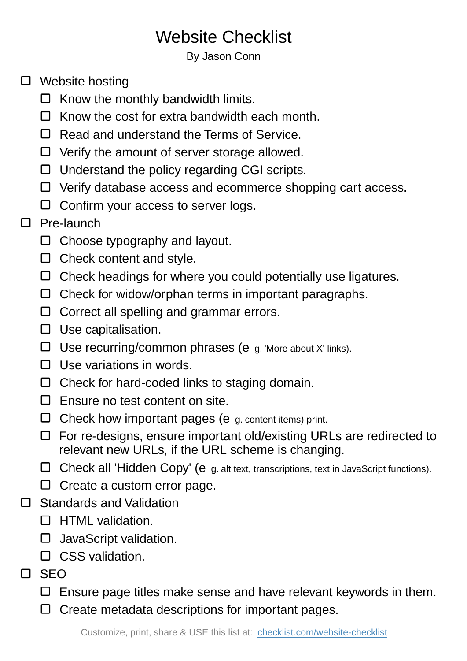# Website Checklist

#### By Jason Conn

- □ Website hosting
	- $\Box$  Know the monthly bandwidth limits.
	- $\Box$  Know the cost for extra bandwidth each month.
	- $\Box$  Read and understand the Terms of Service.
	- $\Box$  Verify the amount of server storage allowed.
	- $\Box$  Understand the policy regarding CGI scripts.
	- $\Box$  Verify database access and ecommerce shopping cart access.
	- $\Box$  Confirm your access to server logs.

## □ Pre-launch

- $\Box$  Choose typography and layout.
- $\Box$  Check content and style.
- $\Box$  Check headings for where you could potentially use ligatures.
- $\Box$  Check for widow/orphan terms in important paragraphs.
- $\Box$  Correct all spelling and grammar errors.
- $\square$  Use capitalisation.
- $\Box$  Use recurring/common phrases (e g. 'More about X' links).
- $\Box$  Use variations in words.
- $\Box$  Check for hard-coded links to staging domain.
- $\Box$  Ensure no test content on site.
- $\Box$  Check how important pages (e g. content items) print.
- $\Box$  For re-designs, ensure important old/existing URLs are redirected to relevant new URLs, if the URL scheme is changing.
- $\Box$  Check all 'Hidden Copy' (e g. alt text, transcriptions, text in JavaScript functions).
- $\Box$  Create a custom error page.
- □ Standards and Validation
	- **D** HTML validation.
	- $\Box$  JavaScript validation.
	- $\Box$  CSS validation.
- $\Box$  SEO
	- $\Box$  Ensure page titles make sense and have relevant keywords in them.
	- $\Box$  Create metadata descriptions for important pages.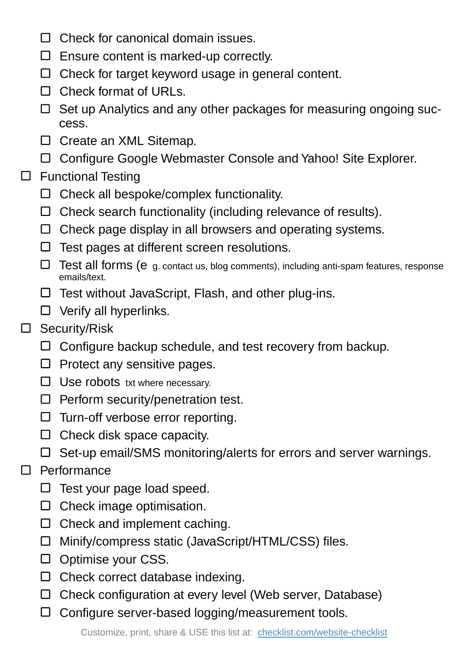- $\Box$  Check for canonical domain issues.
- $\Box$  Ensure content is marked-up correctly.
- $\Box$  Check for target keyword usage in general content.
- $\Box$  Check format of URLs.
- $\Box$  Set up Analytics and any other packages for measuring ongoing success.
- □ Create an XML Sitemap.
- Configure Google Webmaster Console and Yahoo! Site Explorer.
- $\square$  Functional Testing
	- $\Box$  Check all bespoke/complex functionality.
	- $\Box$  Check search functionality (including relevance of results).
	- $\Box$  Check page display in all browsers and operating systems.
	- $\Box$  Test pages at different screen resolutions.
	- Test all forms (e g. contact us, blog comments), including anti-spam features, response emails/text.
	- $\Box$  Test without JavaScript, Flash, and other plug-ins.
	- $\Box$  Verify all hyperlinks.
- Security/Risk
	- $\Box$  Configure backup schedule, and test recovery from backup.
	- $\Box$  Protect any sensitive pages.
	- $\Box$  Use robots txt where necessary.
	- $\Box$  Perform security/penetration test.
	- $\Box$  Turn-off verbose error reporting.
	- $\square$  Check disk space capacity.
	- $\Box$  Set-up email/SMS monitoring/alerts for errors and server warnings.

### □ Performance

- $\Box$  Test your page load speed.
- $\Box$  Check image optimisation.
- $\Box$  Check and implement caching.
- □ Minify/compress static (JavaScript/HTML/CSS) files.
- $\Box$  Optimise your CSS.
- $\Box$  Check correct database indexing.
- $\Box$  Check configuration at every level (Web server, Database)
- $\Box$  Configure server-based logging/measurement tools.